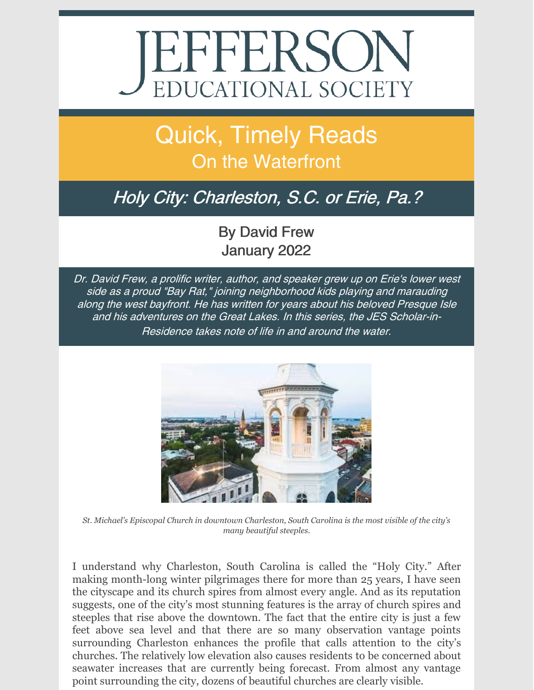# **JEFFERSON** EDUCATIONAL SOCIETY

## Quick, Timely Reads On the Waterfront

### Holy City: Charleston, S.C. or Erie, Pa.?

#### By David Frew January 2022

Dr. David Frew, <sup>a</sup> prolific writer, author, and speaker grew up on Erie's lower west side as <sup>a</sup> proud "Bay Rat," joining neighborhood kids playing and marauding along the west bayfront. He has written for years about his beloved Presque Isle and his adventures on the Great Lakes. In this series, the JES Scholar-in-Residence takes note of life in and around the water.



*St. Michael's Episcopal Church in downtown Charleston, South Carolina is the most visible of the city's many beautiful steeples.*

I understand why Charleston, South Carolina is called the "Holy City." After making month-long winter pilgrimages there for more than 25 years, I have seen the cityscape and its church spires from almost every angle. And as its reputation suggests, one of the city's most stunning features is the array of church spires and steeples that rise above the downtown. The fact that the entire city is just a few feet above sea level and that there are so many observation vantage points surrounding Charleston enhances the profile that calls attention to the city's churches. The relatively low elevation also causes residents to be concerned about seawater increases that are currently being forecast. From almost any vantage point surrounding the city, dozens of beautiful churches are clearly visible.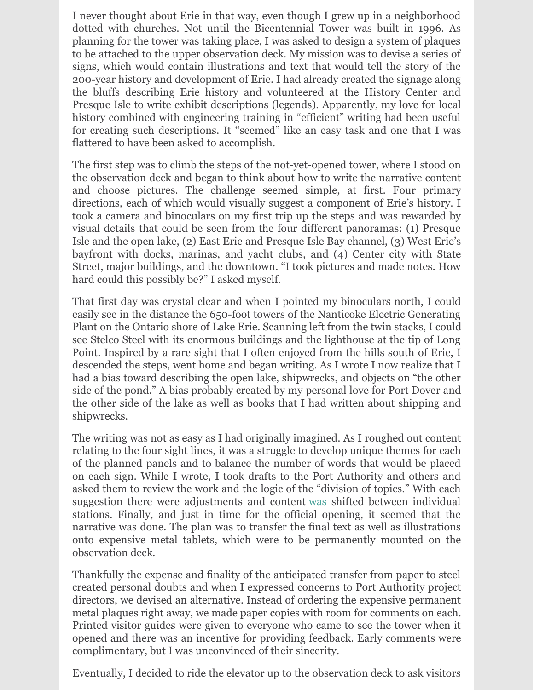I never thought about Erie in that way, even though I grew up in a neighborhood dotted with churches. Not until the Bicentennial Tower was built in 1996. As planning for the tower was taking place, I was asked to design a system of plaques to be attached to the upper observation deck. My mission was to devise a series of signs, which would contain illustrations and text that would tell the story of the 200-year history and development of Erie. I had already created the signage along the bluffs describing Erie history and volunteered at the History Center and Presque Isle to write exhibit descriptions (legends). Apparently, my love for local history combined with engineering training in "efficient" writing had been useful for creating such descriptions. It "seemed" like an easy task and one that I was flattered to have been asked to accomplish.

The first step was to climb the steps of the not-yet-opened tower, where I stood on the observation deck and began to think about how to write the narrative content and choose pictures. The challenge seemed simple, at first. Four primary directions, each of which would visually suggest a component of Erie's history. I took a camera and binoculars on my first trip up the steps and was rewarded by visual details that could be seen from the four different panoramas: (1) Presque Isle and the open lake, (2) East Erie and Presque Isle Bay channel, (3) West Erie's bayfront with docks, marinas, and yacht clubs, and (4) Center city with State Street, major buildings, and the downtown. "I took pictures and made notes. How hard could this possibly be?" I asked myself.

That first day was crystal clear and when I pointed my binoculars north, I could easily see in the distance the 650-foot towers of the Nanticoke Electric Generating Plant on the Ontario shore of Lake Erie. Scanning left from the twin stacks, I could see Stelco Steel with its enormous buildings and the lighthouse at the tip of Long Point. Inspired by a rare sight that I often enjoyed from the hills south of Erie, I descended the steps, went home and began writing. As I wrote I now realize that I had a bias toward describing the open lake, shipwrecks, and objects on "the other side of the pond." A bias probably created by my personal love for Port Dover and the other side of the lake as well as books that I had written about shipping and shipwrecks.

The writing was not as easy as I had originally imagined. As I roughed out content relating to the four sight lines, it was a struggle to develop unique themes for each of the planned panels and to balance the number of words that would be placed on each sign. While I wrote, I took drafts to the Port Authority and others and asked them to review the work and the logic of the "division of topics." With each suggestion there were adjustments and content was shifted between individual stations. Finally, and just in time for the official opening, it seemed that the narrative was done. The plan was to transfer the final text as well as illustrations onto expensive metal tablets, which were to be permanently mounted on the observation deck.

Thankfully the expense and finality of the anticipated transfer from paper to steel created personal doubts and when I expressed concerns to Port Authority project directors, we devised an alternative. Instead of ordering the expensive permanent metal plaques right away, we made paper copies with room for comments on each. Printed visitor guides were given to everyone who came to see the tower when it opened and there was an incentive for providing feedback. Early comments were complimentary, but I was unconvinced of their sincerity.

Eventually, I decided to ride the elevator up to the observation deck to ask visitors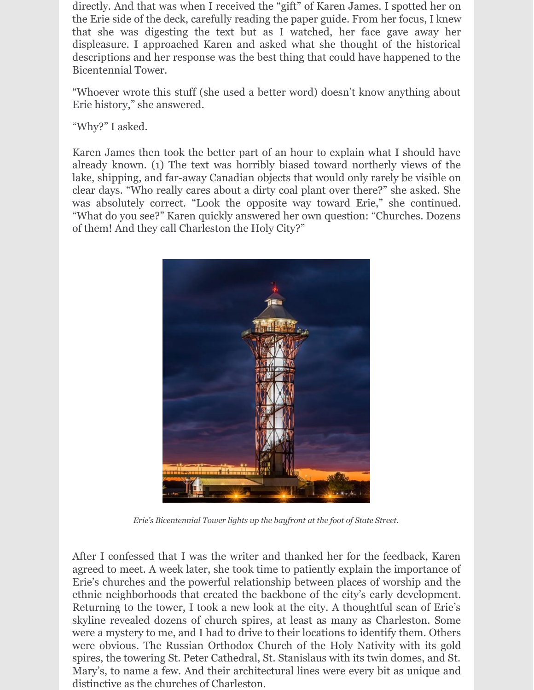directly. And that was when I received the "gift" of Karen James. I spotted her on the Erie side of the deck, carefully reading the paper guide. From her focus, I knew that she was digesting the text but as I watched, her face gave away her displeasure. I approached Karen and asked what she thought of the historical descriptions and her response was the best thing that could have happened to the Bicentennial Tower.

"Whoever wrote this stuff (she used a better word) doesn't know anything about Erie history," she answered.

"Why?" I asked.

Karen James then took the better part of an hour to explain what I should have already known. (1) The text was horribly biased toward northerly views of the lake, shipping, and far-away Canadian objects that would only rarely be visible on clear days. "Who really cares about a dirty coal plant over there?" she asked. She was absolutely correct. "Look the opposite way toward Erie," she continued. "What do you see?" Karen quickly answered her own question: "Churches. Dozens of them! And they call Charleston the Holy City?"



*Erie's Bicentennial Tower lights up the bayfront at the foot of State Street.*

After I confessed that I was the writer and thanked her for the feedback, Karen agreed to meet. A week later, she took time to patiently explain the importance of Erie's churches and the powerful relationship between places of worship and the ethnic neighborhoods that created the backbone of the city's early development. Returning to the tower, I took a new look at the city. A thoughtful scan of Erie's skyline revealed dozens of church spires, at least as many as Charleston. Some were a mystery to me, and I had to drive to their locations to identify them. Others were obvious. The Russian Orthodox Church of the Holy Nativity with its gold spires, the towering St. Peter Cathedral, St. Stanislaus with its twin domes, and St. Mary's, to name a few. And their architectural lines were every bit as unique and distinctive as the churches of Charleston.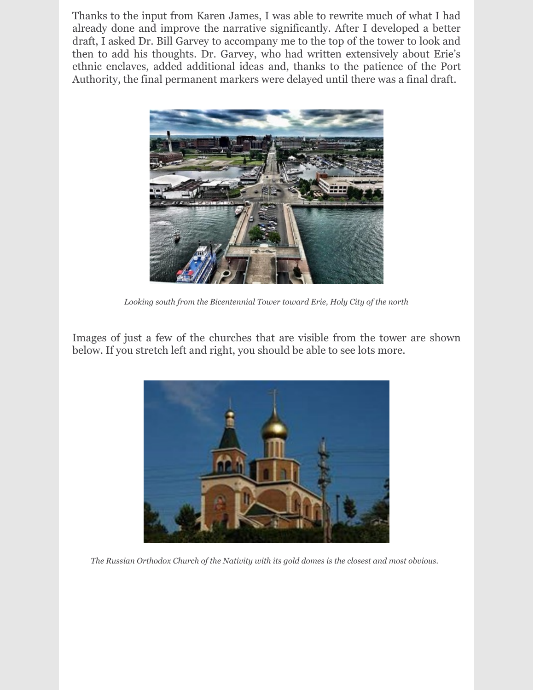Thanks to the input from Karen James, I was able to rewrite much of what I had already done and improve the narrative significantly. After I developed a better draft, I asked Dr. Bill Garvey to accompany me to the top of the tower to look and then to add his thoughts. Dr. Garvey, who had written extensively about Erie's ethnic enclaves, added additional ideas and, thanks to the patience of the Port Authority, the final permanent markers were delayed until there was a final draft.



*Looking south from the Bicentennial Tower toward Erie, Holy City of the north*

Images of just a few of the churches that are visible from the tower are shown below. If you stretch left and right, you should be able to see lots more.



*The Russian Orthodox Church of the Nativity with its gold domes is the closest and most obvious.*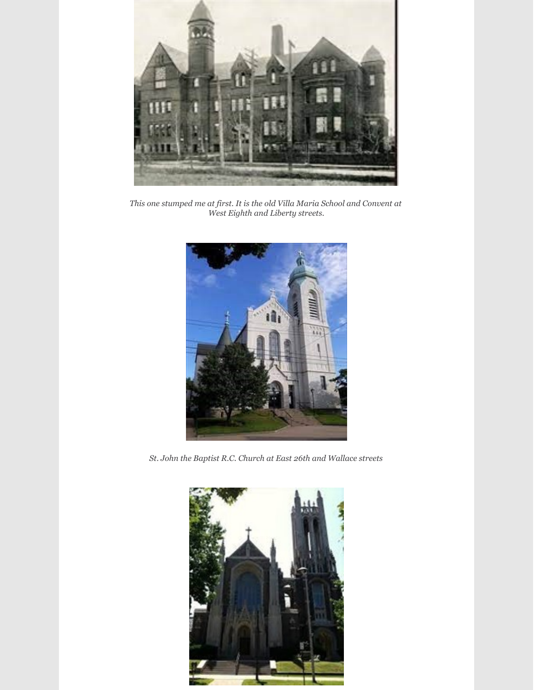

*This one stumped me at first. It is the old Villa Maria School and Convent at West Eighth and Liberty streets.*



*St. John the Baptist R.C. Church at East 26th and Wallace streets*

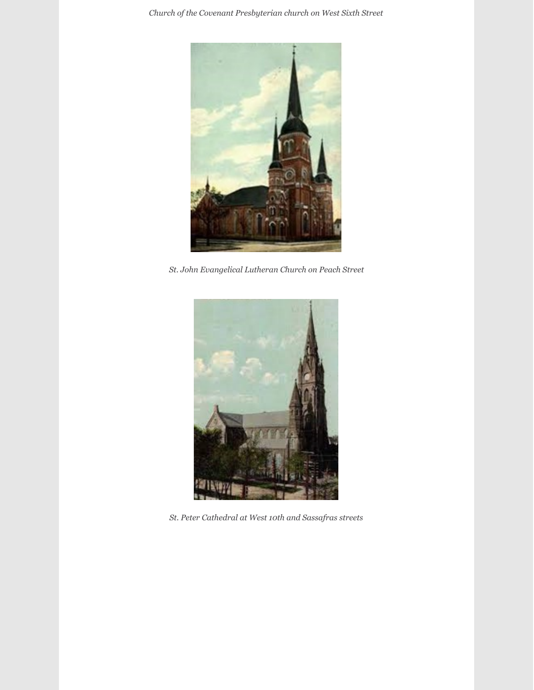*Church of the Covenant Presbyterian church on West Sixth Street*



*St. John Evangelical Lutheran Church on Peach Street*



*St. Peter Cathedral at West 10th and Sassafras streets*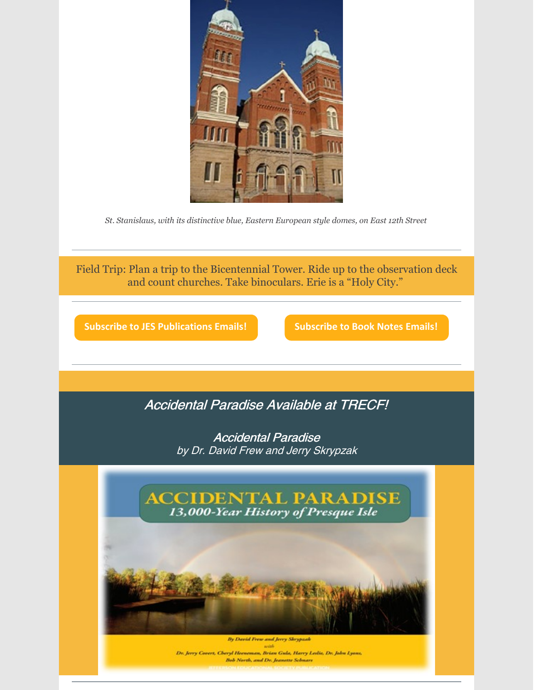

*St. Stanislaus, with its distinctive blue, Eastern European style domes, on East 12th Street*